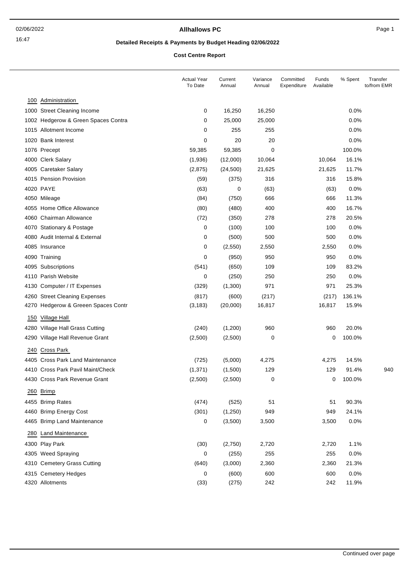## **Allhallows PC** Page 1

# **Detailed Receipts & Payments by Budget Heading 02/06/2022**

**Cost Centre Report**

|     |                                     | <b>Actual Year</b><br>To Date | Current<br>Annual | Variance<br>Annual | Committed<br>Expenditure | Funds<br>Available | % Spent | Transfer<br>to/from EMR |
|-----|-------------------------------------|-------------------------------|-------------------|--------------------|--------------------------|--------------------|---------|-------------------------|
|     | 100 Administration                  |                               |                   |                    |                          |                    |         |                         |
|     | 1000 Street Cleaning Income         | 0                             | 16,250            | 16,250             |                          |                    | 0.0%    |                         |
|     | 1002 Hedgerow & Green Spaces Contra | 0                             | 25,000            | 25,000             |                          |                    | 0.0%    |                         |
|     | 1015 Allotment Income               | 0                             | 255               | 255                |                          |                    | 0.0%    |                         |
|     | 1020 Bank Interest                  | 0                             | 20                | 20                 |                          |                    | 0.0%    |                         |
|     | 1076 Precept                        | 59,385                        | 59,385            | 0                  |                          |                    | 100.0%  |                         |
|     | 4000 Clerk Salary                   | (1,936)                       | (12,000)          | 10,064             |                          | 10,064             | 16.1%   |                         |
|     | 4005 Caretaker Salary               | (2,875)                       | (24, 500)         | 21,625             |                          | 21,625             | 11.7%   |                         |
|     | 4015 Pension Provision              | (59)                          | (375)             | 316                |                          | 316                | 15.8%   |                         |
|     | 4020 PAYE                           | (63)                          | 0                 | (63)               |                          | (63)               | 0.0%    |                         |
|     | 4050 Mileage                        | (84)                          | (750)             | 666                |                          | 666                | 11.3%   |                         |
|     | 4055 Home Office Allowance          | (80)                          | (480)             | 400                |                          | 400                | 16.7%   |                         |
|     | 4060 Chairman Allowance             | (72)                          | (350)             | 278                |                          | 278                | 20.5%   |                         |
|     | 4070 Stationary & Postage           | 0                             | (100)             | 100                |                          | 100                | 0.0%    |                         |
|     | 4080 Audit Internal & External      | 0                             | (500)             | 500                |                          | 500                | 0.0%    |                         |
|     | 4085 Insurance                      | 0                             | (2, 550)          | 2,550              |                          | 2,550              | 0.0%    |                         |
|     | 4090 Training                       | 0                             | (950)             | 950                |                          | 950                | 0.0%    |                         |
|     | 4095 Subscriptions                  | (541)                         | (650)             | 109                |                          | 109                | 83.2%   |                         |
|     | 4110 Parish Website                 | 0                             | (250)             | 250                |                          | 250                | 0.0%    |                         |
|     | 4130 Computer / IT Expenses         | (329)                         | (1,300)           | 971                |                          | 971                | 25.3%   |                         |
|     | 4260 Street Cleaning Expenses       | (817)                         | (600)             | (217)              |                          | (217)              | 136.1%  |                         |
|     | 4270 Hedgerow & Greeen Spaces Contr | (3, 183)                      | (20,000)          | 16,817             |                          | 16,817             | 15.9%   |                         |
| 150 | <b>Village Hall</b>                 |                               |                   |                    |                          |                    |         |                         |
|     | 4280 Village Hall Grass Cutting     | (240)                         | (1,200)           | 960                |                          | 960                | 20.0%   |                         |
|     | 4290 Village Hall Revenue Grant     | (2,500)                       | (2,500)           | 0                  |                          | 0                  | 100.0%  |                         |
| 240 | <b>Cross Park</b>                   |                               |                   |                    |                          |                    |         |                         |
|     | 4405 Cross Park Land Maintenance    | (725)                         | (5,000)           | 4,275              |                          | 4,275              | 14.5%   |                         |
|     | 4410 Cross Park Pavil Maint/Check   | (1, 371)                      | (1,500)           | 129                |                          | 129                | 91.4%   | 940                     |
|     | 4430 Cross Park Revenue Grant       | (2,500)                       | (2,500)           | 0                  |                          | 0                  | 100.0%  |                         |
|     | 260 Brimp                           |                               |                   |                    |                          |                    |         |                         |
|     | 4455 Brimp Rates                    | (474)                         | (525)             | 51                 |                          | 51                 | 90.3%   |                         |
|     | 4460 Brimp Energy Cost              | (301)                         | (1,250)           | 949                |                          | 949                | 24.1%   |                         |
|     | 4465 Brimp Land Maintenance         | 0                             | (3,500)           | 3,500              |                          | 3,500              | 0.0%    |                         |
|     | 280 Land Maintenance                |                               |                   |                    |                          |                    |         |                         |
|     | 4300 Play Park                      | (30)                          | (2,750)           | 2,720              |                          | 2,720              | 1.1%    |                         |
|     | 4305 Weed Spraying                  | 0                             | (255)             | 255                |                          | 255                | 0.0%    |                         |
|     | 4310 Cemetery Grass Cutting         | (640)                         | (3,000)           | 2,360              |                          | 2,360              | 21.3%   |                         |
|     | 4315 Cemetery Hedges                | 0                             | (600)             | 600                |                          | 600                | 0.0%    |                         |
|     | 4320 Allotments                     | (33)                          | (275)             | 242                |                          | 242                | 11.9%   |                         |
|     |                                     |                               |                   |                    |                          |                    |         |                         |